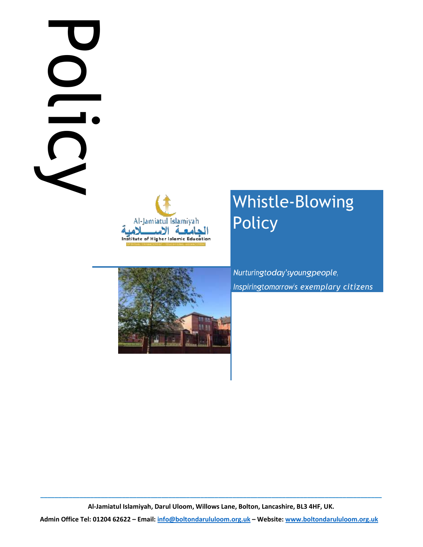# Policy is DC



# Whistle-Blowing Policy



Nurturingtoday'syoungpeople, Inspiringtomorrow's exemplary citizens

\_\_\_\_\_\_\_\_\_\_\_\_\_\_\_\_\_\_\_\_\_\_\_\_\_\_\_\_\_\_\_\_\_\_\_\_\_\_\_\_\_\_\_\_\_\_\_\_\_\_\_\_\_\_\_\_\_\_\_\_\_\_\_\_\_\_\_\_\_\_\_\_\_\_\_\_\_\_\_\_\_\_\_\_\_\_\_\_\_\_\_\_\_\_\_\_ Al-Jamiatul Islamiyah, Darul Uloom, Willows Lane, Bolton, Lancashire, BL3 4HF, UK.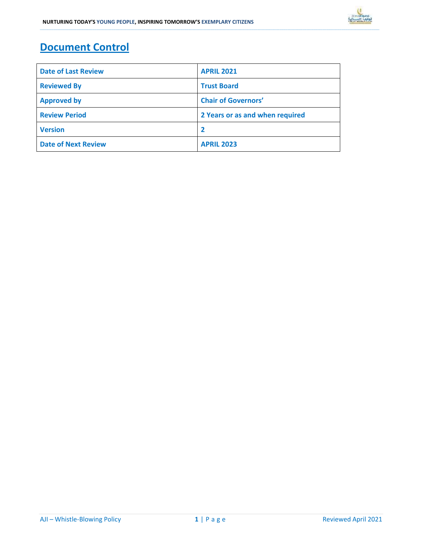## Document Control

| <b>Date of Last Review</b> | <b>APRIL 2021</b>               |  |
|----------------------------|---------------------------------|--|
| <b>Reviewed By</b>         | <b>Trust Board</b>              |  |
| <b>Approved by</b>         | <b>Chair of Governors'</b>      |  |
| <b>Review Period</b>       | 2 Years or as and when required |  |
| <b>Version</b>             |                                 |  |
| <b>Date of Next Review</b> | <b>APRIL 2023</b>               |  |

\_\_\_\_\_\_\_\_\_\_\_\_\_\_\_\_\_\_\_\_\_\_\_\_\_\_\_\_\_\_\_\_\_\_\_\_\_\_\_\_\_\_\_\_\_\_\_\_\_\_\_\_\_\_\_\_\_\_\_\_\_\_\_\_\_\_\_\_\_\_\_\_\_\_\_\_\_\_\_\_\_\_\_\_\_\_\_\_\_\_\_\_\_\_\_\_\_\_\_\_\_\_\_\_\_\_\_\_\_\_\_\_\_\_\_\_\_\_\_\_\_\_\_\_\_\_\_\_\_\_\_\_\_\_\_\_\_\_\_\_\_\_\_\_\_\_\_\_\_\_\_\_\_\_\_\_\_\_\_\_\_\_\_\_\_\_\_\_\_\_\_\_\_\_\_\_\_\_\_\_\_\_\_\_\_\_\_\_\_\_\_\_\_\_\_\_\_\_\_\_\_\_\_\_\_\_\_\_\_\_\_\_\_\_\_\_\_\_\_\_\_\_\_\_\_\_\_\_\_\_\_\_\_\_\_\_\_\_\_\_\_\_\_\_\_\_\_\_\_\_\_\_\_\_\_\_\_\_\_\_\_\_\_\_\_\_\_\_\_\_\_\_\_\_\_\_\_\_\_\_\_\_\_\_\_\_\_\_\_\_\_\_\_\_\_\_\_\_\_\_\_\_\_\_\_\_\_\_\_\_\_\_\_\_\_\_\_\_\_\_\_\_\_\_\_\_\_\_\_\_\_\_\_\_\_\_\_\_\_\_\_\_\_\_\_\_\_\_\_\_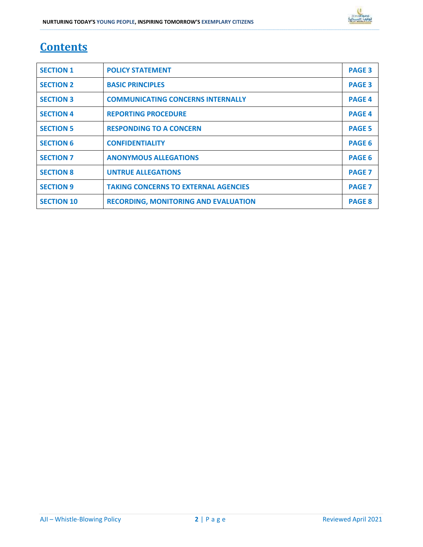# **Contents**

| <b>SECTION 1</b>  | <b>POLICY STATEMENT</b>                     | <b>PAGE 3</b> |
|-------------------|---------------------------------------------|---------------|
| <b>SECTION 2</b>  | <b>BASIC PRINCIPLES</b>                     | <b>PAGE 3</b> |
| <b>SECTION 3</b>  | <b>COMMUNICATING CONCERNS INTERNALLY</b>    | <b>PAGE 4</b> |
| <b>SECTION 4</b>  | <b>REPORTING PROCEDURE</b>                  | <b>PAGE 4</b> |
| <b>SECTION 5</b>  | <b>RESPONDING TO A CONCERN</b>              | <b>PAGE 5</b> |
| <b>SECTION 6</b>  | <b>CONFIDENTIALITY</b>                      | <b>PAGE 6</b> |
| <b>SECTION 7</b>  | <b>ANONYMOUS ALLEGATIONS</b>                | <b>PAGE 6</b> |
| <b>SECTION 8</b>  | <b>UNTRUE ALLEGATIONS</b>                   | <b>PAGE 7</b> |
| <b>SECTION 9</b>  | <b>TAKING CONCERNS TO EXTERNAL AGENCIES</b> | <b>PAGE 7</b> |
| <b>SECTION 10</b> | <b>RECORDING, MONITORING AND EVALUATION</b> | <b>PAGE 8</b> |

\_\_\_\_\_\_\_\_\_\_\_\_\_\_\_\_\_\_\_\_\_\_\_\_\_\_\_\_\_\_\_\_\_\_\_\_\_\_\_\_\_\_\_\_\_\_\_\_\_\_\_\_\_\_\_\_\_\_\_\_\_\_\_\_\_\_\_\_\_\_\_\_\_\_\_\_\_\_\_\_\_\_\_\_\_\_\_\_\_\_\_\_\_\_\_\_\_\_\_\_\_\_\_\_\_\_\_\_\_\_\_\_\_\_\_\_\_\_\_\_\_\_\_\_\_\_\_\_\_\_\_\_\_\_\_\_\_\_\_\_\_\_\_\_\_\_\_\_\_\_\_\_\_\_\_\_\_\_\_\_\_\_\_\_\_\_\_\_\_\_\_\_\_\_\_\_\_\_\_\_\_\_\_\_\_\_\_\_\_\_\_\_\_\_\_\_\_\_\_\_\_\_\_\_\_\_\_\_\_\_\_\_\_\_\_\_\_\_\_\_\_\_\_\_\_\_\_\_\_\_\_\_\_\_\_\_\_\_\_\_\_\_\_\_\_\_\_\_\_\_\_\_\_\_\_\_\_\_\_\_\_\_\_\_\_\_\_\_\_\_\_\_\_\_\_\_\_\_\_\_\_\_\_\_\_\_\_\_\_\_\_\_\_\_\_\_\_\_\_\_\_\_\_\_\_\_\_\_\_\_\_\_\_\_\_\_\_\_\_\_\_\_\_\_\_\_\_\_\_\_\_\_\_\_\_\_\_\_\_\_\_\_\_\_\_\_\_\_\_\_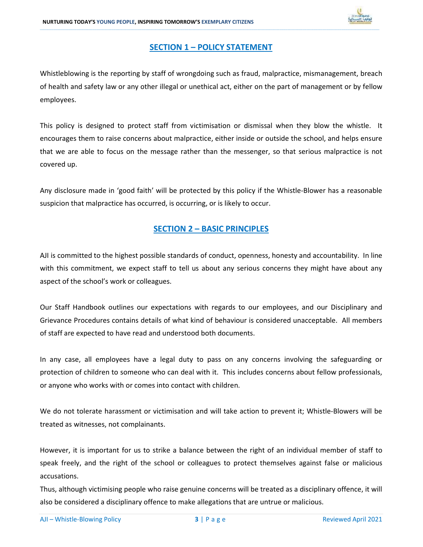

### SECTION 1 – POLICY STATEMENT

\_\_\_\_\_\_\_\_\_\_\_\_\_\_\_\_\_\_\_\_\_\_\_\_\_\_\_\_\_\_\_\_\_\_\_\_\_\_\_\_\_\_\_\_\_\_\_\_\_\_\_\_\_\_\_\_\_\_\_\_\_\_\_\_\_\_\_\_\_\_\_\_\_\_\_\_\_\_\_\_\_\_\_\_\_\_\_\_\_\_\_\_\_\_\_\_\_\_\_\_\_\_\_\_\_\_\_\_\_\_\_\_\_\_\_\_\_\_\_\_\_\_\_\_\_\_\_\_\_\_\_\_\_\_\_\_\_\_\_\_\_\_\_\_\_\_\_\_\_\_\_\_\_\_\_\_\_\_\_\_\_\_\_\_\_\_\_\_\_\_\_\_\_\_\_\_\_\_\_\_\_\_\_\_\_\_\_\_\_\_\_\_\_\_\_\_\_\_\_\_\_\_\_\_\_\_\_\_\_\_\_\_\_\_\_\_\_\_\_\_\_\_\_\_\_\_\_\_\_\_\_\_\_\_\_\_\_\_\_\_\_\_\_\_\_\_\_\_\_\_\_\_\_\_\_\_\_\_\_\_\_\_\_\_\_\_\_\_\_\_\_\_\_\_\_\_\_\_\_\_\_\_\_\_\_\_\_\_\_\_\_\_\_\_\_\_\_\_\_\_\_\_\_\_\_\_\_\_\_\_\_\_\_\_\_\_\_\_\_\_\_\_\_\_\_\_\_\_\_\_\_\_\_\_\_\_\_\_\_\_\_\_\_\_\_\_\_\_\_\_

Whistleblowing is the reporting by staff of wrongdoing such as fraud, malpractice, mismanagement, breach of health and safety law or any other illegal or unethical act, either on the part of management or by fellow employees.

This policy is designed to protect staff from victimisation or dismissal when they blow the whistle. It encourages them to raise concerns about malpractice, either inside or outside the school, and helps ensure that we are able to focus on the message rather than the messenger, so that serious malpractice is not covered up.

Any disclosure made in 'good faith' will be protected by this policy if the Whistle-Blower has a reasonable suspicion that malpractice has occurred, is occurring, or is likely to occur.

### SECTION 2 – BASIC PRINCIPLES

AJI is committed to the highest possible standards of conduct, openness, honesty and accountability. In line with this commitment, we expect staff to tell us about any serious concerns they might have about any aspect of the school's work or colleagues.

Our Staff Handbook outlines our expectations with regards to our employees, and our Disciplinary and Grievance Procedures contains details of what kind of behaviour is considered unacceptable. All members of staff are expected to have read and understood both documents.

In any case, all employees have a legal duty to pass on any concerns involving the safeguarding or protection of children to someone who can deal with it. This includes concerns about fellow professionals, or anyone who works with or comes into contact with children.

We do not tolerate harassment or victimisation and will take action to prevent it; Whistle-Blowers will be treated as witnesses, not complainants.

However, it is important for us to strike a balance between the right of an individual member of staff to speak freely, and the right of the school or colleagues to protect themselves against false or malicious accusations.

Thus, although victimising people who raise genuine concerns will be treated as a disciplinary offence, it will also be considered a disciplinary offence to make allegations that are untrue or malicious.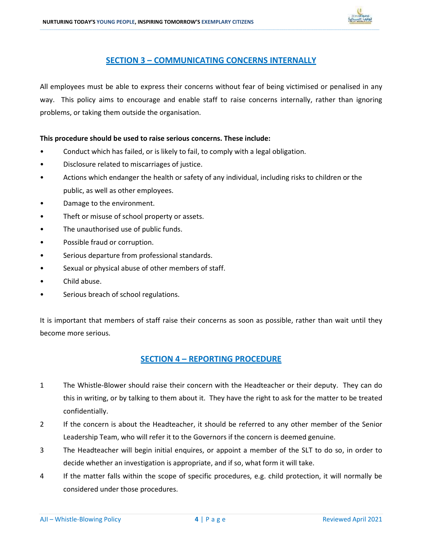

### SECTION 3 – COMMUNICATING CONCERNS INTERNALLY

\_\_\_\_\_\_\_\_\_\_\_\_\_\_\_\_\_\_\_\_\_\_\_\_\_\_\_\_\_\_\_\_\_\_\_\_\_\_\_\_\_\_\_\_\_\_\_\_\_\_\_\_\_\_\_\_\_\_\_\_\_\_\_\_\_\_\_\_\_\_\_\_\_\_\_\_\_\_\_\_\_\_\_\_\_\_\_\_\_\_\_\_\_\_\_\_\_\_\_\_\_\_\_\_\_\_\_\_\_\_\_\_\_\_\_\_\_\_\_\_\_\_\_\_\_\_\_\_\_\_\_\_\_\_\_\_\_\_\_\_\_\_\_\_\_\_\_\_\_\_\_\_\_\_\_\_\_\_\_\_\_\_\_\_\_\_\_\_\_\_\_\_\_\_\_\_\_\_\_\_\_\_\_\_\_\_\_\_\_\_\_\_\_\_\_\_\_\_\_\_\_\_\_\_\_\_\_\_\_\_\_\_\_\_\_\_\_\_\_\_\_\_\_\_\_\_\_\_\_\_\_\_\_\_\_\_\_\_\_\_\_\_\_\_\_\_\_\_\_\_\_\_\_\_\_\_\_\_\_\_\_\_\_\_\_\_\_\_\_\_\_\_\_\_\_\_\_\_\_\_\_\_\_\_\_\_\_\_\_\_\_\_\_\_\_\_\_\_\_\_\_\_\_\_\_\_\_\_\_\_\_\_\_\_\_\_\_\_\_\_\_\_\_\_\_\_\_\_\_\_\_\_\_\_\_\_\_\_\_\_\_\_\_\_\_\_\_\_\_\_

All employees must be able to express their concerns without fear of being victimised or penalised in any way. This policy aims to encourage and enable staff to raise concerns internally, rather than ignoring problems, or taking them outside the organisation.

### This procedure should be used to raise serious concerns. These include:

- Conduct which has failed, or is likely to fail, to comply with a legal obligation.
- Disclosure related to miscarriages of justice.
- Actions which endanger the health or safety of any individual, including risks to children or the public, as well as other employees.
- Damage to the environment.
- Theft or misuse of school property or assets.
- The unauthorised use of public funds.
- Possible fraud or corruption.
- Serious departure from professional standards.
- Sexual or physical abuse of other members of staff.
- Child abuse.
- Serious breach of school regulations.

It is important that members of staff raise their concerns as soon as possible, rather than wait until they become more serious.

### SECTION 4 – REPORTING PROCEDURE

- 1 The Whistle-Blower should raise their concern with the Headteacher or their deputy. They can do this in writing, or by talking to them about it. They have the right to ask for the matter to be treated confidentially.
- 2 If the concern is about the Headteacher, it should be referred to any other member of the Senior Leadership Team, who will refer it to the Governors if the concern is deemed genuine.
- 3 The Headteacher will begin initial enquires, or appoint a member of the SLT to do so, in order to decide whether an investigation is appropriate, and if so, what form it will take.
- 4 If the matter falls within the scope of specific procedures, e.g. child protection, it will normally be considered under those procedures.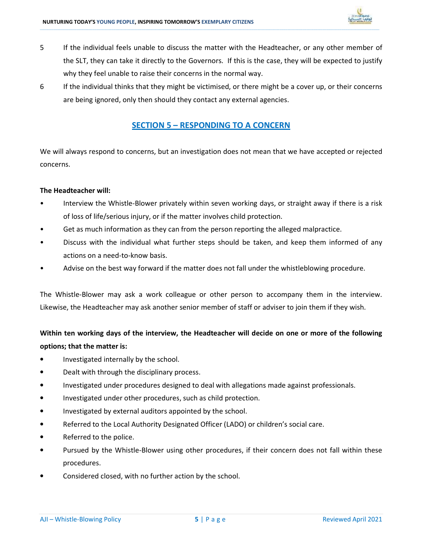

5 If the individual feels unable to discuss the matter with the Headteacher, or any other member of the SLT, they can take it directly to the Governors. If this is the case, they will be expected to justify why they feel unable to raise their concerns in the normal way.

\_\_\_\_\_\_\_\_\_\_\_\_\_\_\_\_\_\_\_\_\_\_\_\_\_\_\_\_\_\_\_\_\_\_\_\_\_\_\_\_\_\_\_\_\_\_\_\_\_\_\_\_\_\_\_\_\_\_\_\_\_\_\_\_\_\_\_\_\_\_\_\_\_\_\_\_\_\_\_\_\_\_\_\_\_\_\_\_\_\_\_\_\_\_\_\_\_\_\_\_\_\_\_\_\_\_\_\_\_\_\_\_\_\_\_\_\_\_\_\_\_\_\_\_\_\_\_\_\_\_\_\_\_\_\_\_\_\_\_\_\_\_\_\_\_\_\_\_\_\_\_\_\_\_\_\_\_\_\_\_\_\_\_\_\_\_\_\_\_\_\_\_\_\_\_\_\_\_\_\_\_\_\_\_\_\_\_\_\_\_\_\_\_\_\_\_\_\_\_\_\_\_\_\_\_\_\_\_\_\_\_\_\_\_\_\_\_\_\_\_\_\_\_\_\_\_\_\_\_\_\_\_\_\_\_\_\_\_\_\_\_\_\_\_\_\_\_\_\_\_\_\_\_\_\_\_\_\_\_\_\_\_\_\_\_\_\_\_\_\_\_\_\_\_\_\_\_\_\_\_\_\_\_\_\_\_\_\_\_\_\_\_\_\_\_\_\_\_\_\_\_\_\_\_\_\_\_\_\_\_\_\_\_\_\_\_\_\_\_\_\_\_\_\_\_\_\_\_\_\_\_\_\_\_\_\_\_\_\_\_\_\_\_\_\_\_\_\_\_\_

6 If the individual thinks that they might be victimised, or there might be a cover up, or their concerns are being ignored, only then should they contact any external agencies.

### SECTION 5 – RESPONDING TO A CONCERN

We will always respond to concerns, but an investigation does not mean that we have accepted or rejected concerns.

### The Headteacher will:

- Interview the Whistle-Blower privately within seven working days, or straight away if there is a risk of loss of life/serious injury, or if the matter involves child protection.
- Get as much information as they can from the person reporting the alleged malpractice.
- Discuss with the individual what further steps should be taken, and keep them informed of any actions on a need-to-know basis.
- Advise on the best way forward if the matter does not fall under the whistleblowing procedure.

The Whistle-Blower may ask a work colleague or other person to accompany them in the interview. Likewise, the Headteacher may ask another senior member of staff or adviser to join them if they wish.

### Within ten working days of the interview, the Headteacher will decide on one or more of the following options; that the matter is:

- Investigated internally by the school.
- Dealt with through the disciplinary process.
- Investigated under procedures designed to deal with allegations made against professionals.
- Investigated under other procedures, such as child protection.
- Investigated by external auditors appointed by the school.
- Referred to the Local Authority Designated Officer (LADO) or children's social care.
- Referred to the police.
- Pursued by the Whistle-Blower using other procedures, if their concern does not fall within these procedures.
- Considered closed, with no further action by the school.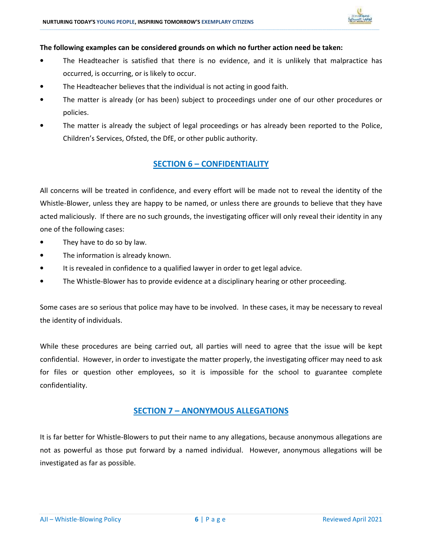

### The following examples can be considered grounds on which no further action need be taken:

The Headteacher is satisfied that there is no evidence, and it is unlikely that malpractice has occurred, is occurring, or is likely to occur.

\_\_\_\_\_\_\_\_\_\_\_\_\_\_\_\_\_\_\_\_\_\_\_\_\_\_\_\_\_\_\_\_\_\_\_\_\_\_\_\_\_\_\_\_\_\_\_\_\_\_\_\_\_\_\_\_\_\_\_\_\_\_\_\_\_\_\_\_\_\_\_\_\_\_\_\_\_\_\_\_\_\_\_\_\_\_\_\_\_\_\_\_\_\_\_\_\_\_\_\_\_\_\_\_\_\_\_\_\_\_\_\_\_\_\_\_\_\_\_\_\_\_\_\_\_\_\_\_\_\_\_\_\_\_\_\_\_\_\_\_\_\_\_\_\_\_\_\_\_\_\_\_\_\_\_\_\_\_\_\_\_\_\_\_\_\_\_\_\_\_\_\_\_\_\_\_\_\_\_\_\_\_\_\_\_\_\_\_\_\_\_\_\_\_\_\_\_\_\_\_\_\_\_\_\_\_\_\_\_\_\_\_\_\_\_\_\_\_\_\_\_\_\_\_\_\_\_\_\_\_\_\_\_\_\_\_\_\_\_\_\_\_\_\_\_\_\_\_\_\_\_\_\_\_\_\_\_\_\_\_\_\_\_\_\_\_\_\_\_\_\_\_\_\_\_\_\_\_\_\_\_\_\_\_\_\_\_\_\_\_\_\_\_\_\_\_\_\_\_\_\_\_\_\_\_\_\_\_\_\_\_\_\_\_\_\_\_\_\_\_\_\_\_\_\_\_\_\_\_\_\_\_\_\_\_\_\_\_\_\_\_\_\_\_\_\_\_\_\_\_

- The Headteacher believes that the individual is not acting in good faith.
- The matter is already (or has been) subject to proceedings under one of our other procedures or policies.
- The matter is already the subject of legal proceedings or has already been reported to the Police, Children's Services, Ofsted, the DfE, or other public authority.

### **SECTION 6 - CONFIDENTIALITY**

All concerns will be treated in confidence, and every effort will be made not to reveal the identity of the Whistle-Blower, unless they are happy to be named, or unless there are grounds to believe that they have acted maliciously. If there are no such grounds, the investigating officer will only reveal their identity in any one of the following cases:

- They have to do so by law.
- The information is already known.
- It is revealed in confidence to a qualified lawyer in order to get legal advice.
- The Whistle-Blower has to provide evidence at a disciplinary hearing or other proceeding.

Some cases are so serious that police may have to be involved. In these cases, it may be necessary to reveal the identity of individuals.

While these procedures are being carried out, all parties will need to agree that the issue will be kept confidential. However, in order to investigate the matter properly, the investigating officer may need to ask for files or question other employees, so it is impossible for the school to guarantee complete confidentiality.

### SECTION 7 – ANONYMOUS ALLEGATIONS

It is far better for Whistle-Blowers to put their name to any allegations, because anonymous allegations are not as powerful as those put forward by a named individual. However, anonymous allegations will be investigated as far as possible.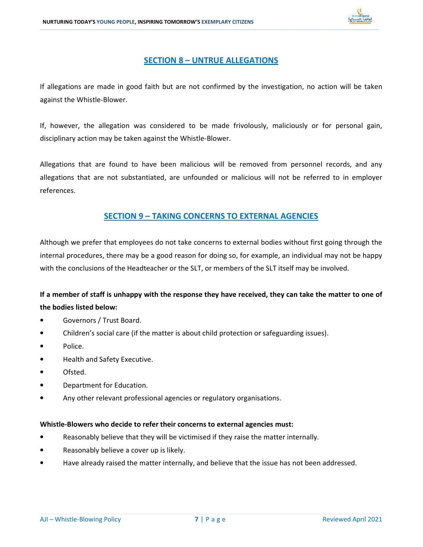

### SECTION 8 – UNTRUE ALLEGATIONS

\_\_\_\_\_\_\_\_\_\_\_\_\_\_\_\_\_\_\_\_\_\_\_\_\_\_\_\_\_\_\_\_\_\_\_\_\_\_\_\_\_\_\_\_\_\_\_\_\_\_\_\_\_\_\_\_\_\_\_\_\_\_\_\_\_\_\_\_\_\_\_\_\_\_\_\_\_\_\_\_\_\_\_\_\_\_\_\_\_\_\_\_\_\_\_\_\_\_\_\_\_\_\_\_\_\_\_\_\_\_\_\_\_\_\_\_\_\_\_\_\_\_\_\_\_\_\_\_\_\_\_\_\_\_\_\_\_\_\_\_\_\_\_\_\_\_\_\_\_\_\_\_\_\_\_\_\_\_\_\_\_\_\_\_\_\_\_\_\_\_\_\_\_\_\_\_\_\_\_\_\_\_\_\_\_\_\_\_\_\_\_\_\_\_\_\_\_\_\_\_\_\_\_\_\_\_\_\_\_\_\_\_\_\_\_\_\_\_\_\_\_\_\_\_\_\_\_\_\_\_\_\_\_\_\_\_\_\_\_\_\_\_\_\_\_\_\_\_\_\_\_\_\_\_\_\_\_\_\_\_\_\_\_\_\_\_\_\_\_\_\_\_\_\_\_\_\_\_\_\_\_\_\_\_\_\_\_\_\_\_\_\_\_\_\_\_\_\_\_\_\_\_\_\_\_\_\_\_\_\_\_\_\_\_\_\_\_\_\_\_\_\_\_\_\_\_\_\_\_\_\_\_\_\_\_\_\_\_\_\_\_\_\_\_\_\_\_\_\_\_

If allegations are made in good faith but are not confirmed by the investigation, no action will be taken against the Whistle-Blower.

If, however, the allegation was considered to be made frivolously, maliciously or for personal gain, disciplinary action may be taken against the Whistle-Blower.

Allegations that are found to have been malicious will be removed from personnel records, and any allegations that are not substantiated, are unfounded or malicious will not be referred to in employer references.

### SECTION 9 – TAKING CONCERNS TO EXTERNAL AGENCIES

Although we prefer that employees do not take concerns to external bodies without first going through the internal procedures, there may be a good reason for doing so, for example, an individual may not be happy with the conclusions of the Headteacher or the SLT, or members of the SLT itself may be involved.

### If a member of staff is unhappy with the response they have received, they can take the matter to one of the bodies listed below:

- Governors / Trust Board.
- Children's social care (if the matter is about child protection or safeguarding issues).
- Police.
- Health and Safety Executive.
- Ofsted.
- Department for Education.
- Any other relevant professional agencies or regulatory organisations.

### Whistle-Blowers who decide to refer their concerns to external agencies must:

- Reasonably believe that they will be victimised if they raise the matter internally.
- Reasonably believe a cover up is likely.
- Have already raised the matter internally, and believe that the issue has not been addressed.